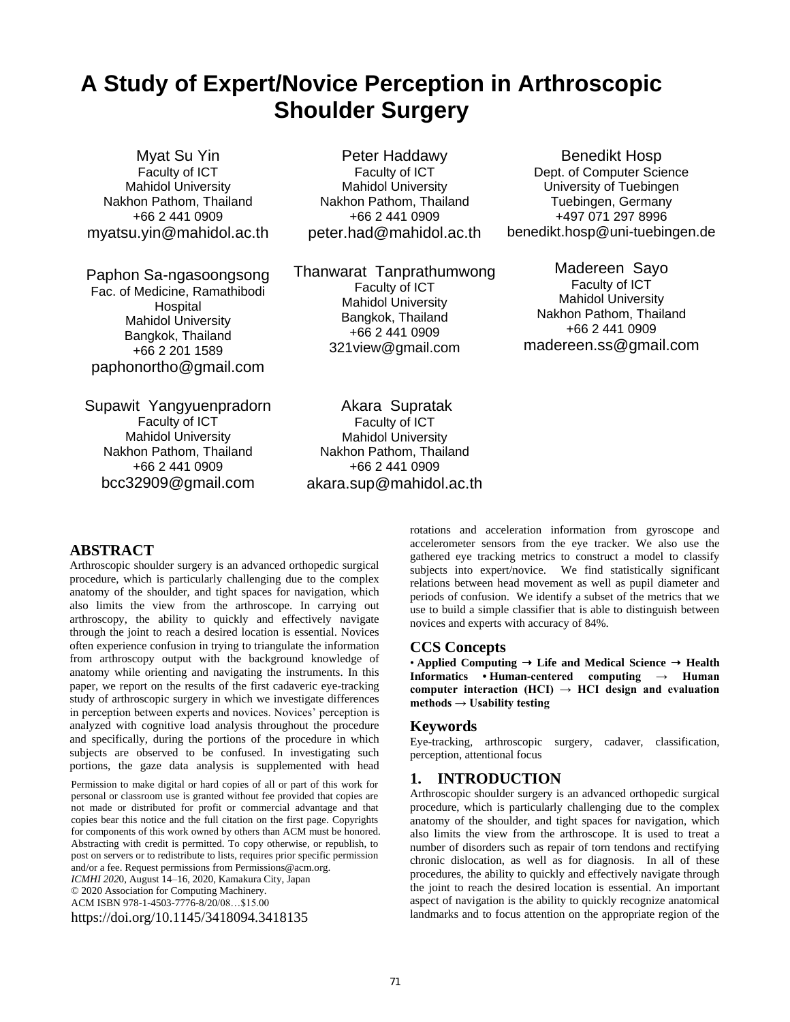# **A Study of Expert/Novice Perception in Arthroscopic Shoulder Surgery**

Myat Su Yin Faculty of ICT Mahidol University Nakhon Pathom, Thailand +66 2 441 0909 [myatsu.yin@mahidol.ac.th](mailto:myatsu.yin@mahidol.ac.th)

Paphon Sa-ngasoongsong Fac. of Medicine, Ramathibodi Hospital Mahidol University Bangkok, Thailand +66 2 201 1589 [paphonortho@gmail.com](mailto:paphonortho@gmail.com)

Supawit Yangyuenpradorn Faculty of ICT Mahidol University Nakhon Pathom, Thailand +66 2 441 0909 bcc32909@gmail.com

Peter Haddawy Faculty of ICT Mahidol University Nakhon Pathom, Thailand +66 2 441 0909 [peter.had@mahidol.ac.th](mailto:peter.had@mahidol.ac.th)

Thanwarat Tanprathumwong Faculty of ICT Mahidol University Bangkok, Thailand +66 2 441 0909 321view@gmail.com

Akara Supratak Faculty of ICT Mahidol University Nakhon Pathom, Thailand +66 2 441 0909 akara.sup@mahidol.ac.th

Benedikt Hosp Dept. of Computer Science University of Tuebingen Tuebingen, Germany +497 071 297 8996 [benedikt.hosp@uni-tuebingen.de](mailto:benedikt.hosp@uni-tuebingen.de)

Madereen Sayo Faculty of ICT Mahidol University Nakhon Pathom, Thailand +66 2 441 0909 madereen.ss@gmail.com

#### **ABSTRACT**

Arthroscopic shoulder surgery is an advanced orthopedic surgical procedure, which is particularly challenging due to the complex anatomy of the shoulder, and tight spaces for navigation, which also limits the view from the arthroscope. In carrying out arthroscopy, the ability to quickly and effectively navigate through the joint to reach a desired location is essential. Novices often experience confusion in trying to triangulate the information from arthroscopy output with the background knowledge of anatomy while orienting and navigating the instruments. In this paper, we report on the results of the first cadaveric eye-tracking study of arthroscopic surgery in which we investigate differences in perception between experts and novices. Novices' perception is analyzed with cognitive load analysis throughout the procedure and specifically, during the portions of the procedure in which subjects are observed to be confused. In investigating such portions, the gaze data analysis is supplemented with head

Permission to make digital or hard copies of all or part of this work for personal or classroom use is granted without fee provided that copies are not made or distributed for profit or commercial advantage and that copies bear this notice and the full citation on the first page. Copyrights for components of this work owned by others than ACM must be honored. Abstracting with credit is permitted. To copy otherwise, or republish, to post on servers or to redistribute to lists, requires prior specific permission and/or a fee. Request permissions from Permissions@acm.org. *ICMHI 202*0, August 14–16, 2020, Kamakura City, Japan © 2020 Association for Computing Machinery. ACM ISBN 978-1-4503-7776-8/20/08…\$15.00 https://doi.org/10.1145/3418094.3418135

rotations and acceleration information from gyroscope and accelerometer sensors from the eye tracker. We also use the gathered eye tracking metrics to construct a model to classify subjects into expert/novice. We find statistically significant relations between head movement as well as pupil diameter and periods of confusion. We identify a subset of the metrics that we use to build a simple classifier that is able to distinguish between novices and experts with accuracy of 84%.

#### **CCS Concepts**

• **Applied Computing** ➝ **Life and Medical Science** ➝ **Health Informatics • Human-centered computing → Human**  computer interaction  $(HCI) \rightarrow HCI$  design and evaluation **methods → Usability testing**

#### **Keywords**

Eye-tracking, arthroscopic surgery, cadaver, classification, perception, attentional focus

#### **1. INTRODUCTION**

Arthroscopic shoulder surgery is an advanced orthopedic surgical procedure, which is particularly challenging due to the complex anatomy of the shoulder, and tight spaces for navigation, which also limits the view from the arthroscope. It is used to treat a number of disorders such as repair of torn tendons and rectifying chronic dislocation, as well as for diagnosis. In all of these procedures, the ability to quickly and effectively navigate through the joint to reach the desired location is essential. An important aspect of navigation is the ability to quickly recognize anatomical landmarks and to focus attention on the appropriate region of the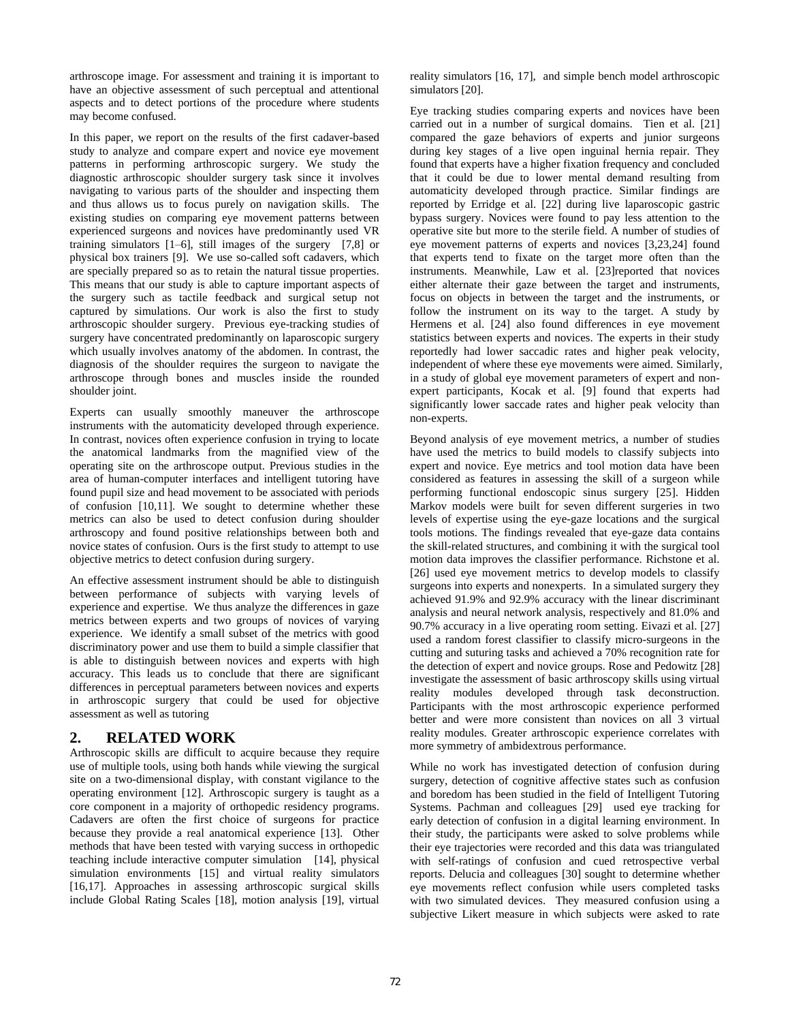arthroscope image. For assessment and training it is important to have an objective assessment of such perceptual and attentional aspects and to detect portions of the procedure where students may become confused.

In this paper, we report on the results of the first cadaver-based study to analyze and compare expert and novice eye movement patterns in performing arthroscopic surgery. We study the diagnostic arthroscopic shoulder surgery task since it involves navigating to various parts of the shoulder and inspecting them and thus allows us to focus purely on navigation skills. The existing studies on comparing eye movement patterns between experienced surgeons and novices have predominantly used VR training simulators [\[1–6\],](https://paperpile.com/c/kNexnA/BBPe+hgjX+hxuN+f7xC+3uRP+WK3C) still images of the surgery [\[7,8\]](https://paperpile.com/c/kNexnA/S6to+tBtG) or physical box trainers [\[9\].](https://paperpile.com/c/kNexnA/SmV1) We use so-called soft cadavers, which are specially prepared so as to retain the natural tissue properties. This means that our study is able to capture important aspects of the surgery such as tactile feedback and surgical setup not captured by simulations. Our work is also the first to study arthroscopic shoulder surgery. Previous eye-tracking studies of surgery have concentrated predominantly on laparoscopic surgery which usually involves anatomy of the abdomen. In contrast, the diagnosis of the shoulder requires the surgeon to navigate the arthroscope through bones and muscles inside the rounded shoulder joint.

Experts can usually smoothly maneuver the arthroscope instruments with the automaticity developed through experience. In contrast, novices often experience confusion in trying to locate the anatomical landmarks from the magnified view of the operating site on the arthroscope output. Previous studies in the area of human-computer interfaces and intelligent tutoring have found pupil size and head movement to be associated with periods of confusion [\[10,11\].](https://paperpile.com/c/kNexnA/dH6m+3fff) We sought to determine whether these metrics can also be used to detect confusion during shoulder arthroscopy and found positive relationships between both and novice states of confusion. Ours is the first study to attempt to use objective metrics to detect confusion during surgery.

An effective assessment instrument should be able to distinguish between performance of subjects with varying levels of experience and expertise. We thus analyze the differences in gaze metrics between experts and two groups of novices of varying experience. We identify a small subset of the metrics with good discriminatory power and use them to build a simple classifier that is able to distinguish between novices and experts with high accuracy. This leads us to conclude that there are significant differences in perceptual parameters between novices and experts in arthroscopic surgery that could be used for objective assessment as well as tutoring

## **2. RELATED WORK**

Arthroscopic skills are difficult to acquire because they require use of multiple tools, using both hands while viewing the surgical site on a two-dimensional display, with constant vigilance to the operating environment [\[12\].](https://paperpile.com/c/kNexnA/At17) Arthroscopic surgery is taught as a core component in a majority of orthopedic residency programs. Cadavers are often the first choice of surgeons for practice because they provide a real anatomical experience [\[13\].](https://paperpile.com/c/kNexnA/TdQ0) Other methods that have been tested with varying success in orthopedic teaching include interactive computer simulation [\[14\],](https://paperpile.com/c/kNexnA/QfoC) physical simulation environments [\[15\]](https://paperpile.com/c/kNexnA/S8pC) and virtual reality simulators [\[16,17\].](https://paperpile.com/c/kNexnA/Qldq+8twY) Approaches in assessing arthroscopic surgical skills include Global Rating Scales [\[18\],](https://paperpile.com/c/kNexnA/PEcF) motion analysis [\[19\],](https://paperpile.com/c/kNexnA/dl7G) virtual

reality simulators [\[16, 17\],](https://paperpile.com/c/kNexnA/Qldq+8twY) and simple bench model arthroscopic simulator[s \[20\].](https://paperpile.com/c/kNexnA/Vnk8) 

Eye tracking studies comparing experts and novices have been carried out in a number of surgical domains. Tien et al. [\[21\]](https://paperpile.com/c/kNexnA/0h71) compared the gaze behaviors of experts and junior surgeons during key stages of a live open inguinal hernia repair. They found that experts have a higher fixation frequency and concluded that it could be due to lower mental demand resulting from automaticity developed through practice. Similar findings are reported by Erridge et al. [\[22\]](https://paperpile.com/c/kNexnA/EL3S) during live laparoscopic gastric bypass surgery. Novices were found to pay less attention to the operative site but more to the sterile field. A number of studies of eye movement patterns of experts and novices [\[3,23,24\]](https://paperpile.com/c/kNexnA/hxuN+rETd+gfXo) found that experts tend to fixate on the target more often than the instruments. Meanwhile, Law et al. [\[23\]r](https://paperpile.com/c/kNexnA/rETd)eported that novices either alternate their gaze between the target and instruments, focus on objects in between the target and the instruments, or follow the instrument on its way to the target. A study by Hermens et al. [\[24\]](https://paperpile.com/c/kNexnA/gfXo) also found differences in eye movement statistics between experts and novices. The experts in their study reportedly had lower saccadic rates and higher peak velocity, independent of where these eye movements were aimed. Similarly, in a study of global eye movement parameters of expert and nonexpert participants, Kocak et al. [\[9\]](https://paperpile.com/c/kNexnA/SmV1) found that experts had significantly lower saccade rates and higher peak velocity than non-experts.

Beyond analysis of eye movement metrics, a number of studies have used the metrics to build models to classify subjects into expert and novice. Eye metrics and tool motion data have been considered as features in assessing the skill of a surgeon while performing functional endoscopic sinus surgery [\[25\].](https://paperpile.com/c/kNexnA/AUmy) Hidden Markov models were built for seven different surgeries in two levels of expertise using the eye-gaze locations and the surgical tools motions. The findings revealed that eye-gaze data contains the skill-related structures, and combining it with the surgical tool motion data improves the classifier performance. Richstone et al. [\[26\]](https://paperpile.com/c/kNexnA/Rubd) used eye movement metrics to develop models to classify surgeons into experts and nonexperts. In a simulated surgery they achieved 91.9% and 92.9% accuracy with the linear discriminant analysis and neural network analysis, respectively and 81.0% and 90.7% accuracy in a live operating room setting. Eivazi et al. [\[27\]](https://paperpile.com/c/kNexnA/q7Ff)  used a random forest classifier to classify micro-surgeons in the cutting and suturing tasks and achieved a 70% recognition rate for the detection of expert and novice groups. Rose and Pedowitz [\[28\]](https://paperpile.com/c/kNexnA/CwBG) investigate the assessment of basic arthroscopy skills using virtual reality modules developed through task deconstruction. Participants with the most arthroscopic experience performed better and were more consistent than novices on all 3 virtual reality modules. Greater arthroscopic experience correlates with more symmetry of ambidextrous performance.

While no work has investigated detection of confusion during surgery, detection of cognitive affective states such as confusion and boredom has been studied in the field of Intelligent Tutoring Systems. Pachman and colleagues [\[29\]](https://paperpile.com/c/kNexnA/45C8) used eye tracking for early detection of confusion in a digital learning environment. In their study, the participants were asked to solve problems while their eye trajectories were recorded and this data was triangulated with self-ratings of confusion and cued retrospective verbal reports. Delucia and colleagues [\[30\]](https://paperpile.com/c/kNexnA/iX3L) sought to determine whether eye movements reflect confusion while users completed tasks with two simulated devices. They measured confusion using a subjective Likert measure in which subjects were asked to rate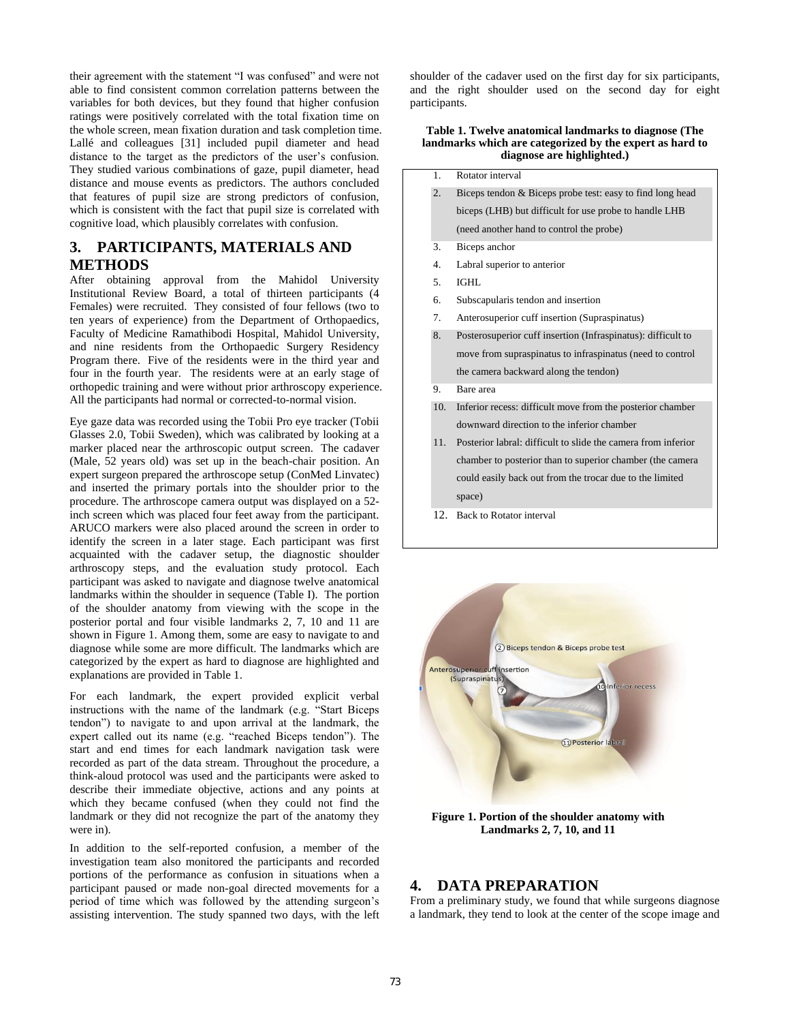their agreement with the statement "I was confused" and were not able to find consistent common correlation patterns between the variables for both devices, but they found that higher confusion ratings were positively correlated with the total fixation time on the whole screen, mean fixation duration and task completion time. Lallé and colleagues [\[31\]](https://paperpile.com/c/kNexnA/0Y2b) included pupil diameter and head distance to the target as the predictors of the user's confusion. They studied various combinations of gaze, pupil diameter, head distance and mouse events as predictors. The authors concluded that features of pupil size are strong predictors of confusion, which is consistent with the fact that pupil size is correlated with cognitive load, which plausibly correlates with confusion.

## **3. PARTICIPANTS, MATERIALS AND METHODS**

After obtaining approval from the Mahidol University Institutional Review Board, a total of thirteen participants (4 Females) were recruited. They consisted of four fellows (two to ten years of experience) from the Department of Orthopaedics, Faculty of Medicine Ramathibodi Hospital, Mahidol University, and nine residents from the Orthopaedic Surgery Residency Program there. Five of the residents were in the third year and four in the fourth year. The residents were at an early stage of orthopedic training and were without prior arthroscopy experience. All the participants had normal or corrected-to-normal vision.

Eye gaze data was recorded using the Tobii Pro eye tracker (Tobii Glasses 2.0, Tobii Sweden), which was calibrated by looking at a marker placed near the arthroscopic output screen. The cadaver (Male, 52 years old) was set up in the beach-chair position. An expert surgeon prepared the arthroscope setup (ConMed Linvatec) and inserted the primary portals into the shoulder prior to the procedure. The arthroscope camera output was displayed on a 52 inch screen which was placed four feet away from the participant. ARUCO markers were also placed around the screen in order to identify the screen in a later stage. Each participant was first acquainted with the cadaver setup, the diagnostic shoulder arthroscopy steps, and the evaluation study protocol. Each participant was asked to navigate and diagnose twelve anatomical landmarks within the shoulder in sequence (Table I). The portion of the shoulder anatomy from viewing with the scope in the posterior portal and four visible landmarks 2, 7, 10 and 11 are shown in Figure 1. Among them, some are easy to navigate to and diagnose while some are more difficult. The landmarks which are categorized by the expert as hard to diagnose are highlighted and explanations are provided in Table 1.

For each landmark, the expert provided explicit verbal instructions with the name of the landmark (e.g. "Start Biceps tendon") to navigate to and upon arrival at the landmark, the expert called out its name (e.g. "reached Biceps tendon"). The start and end times for each landmark navigation task were recorded as part of the data stream. Throughout the procedure, a think-aloud protocol was used and the participants were asked to describe their immediate objective, actions and any points at which they became confused (when they could not find the landmark or they did not recognize the part of the anatomy they were in).

In addition to the self-reported confusion, a member of the investigation team also monitored the participants and recorded portions of the performance as confusion in situations when a participant paused or made non-goal directed movements for a period of time which was followed by the attending surgeon's assisting intervention. The study spanned two days, with the left

shoulder of the cadaver used on the first day for six participants, and the right shoulder used on the second day for eight participants.

#### **Table 1. Twelve anatomical landmarks to diagnose (The landmarks which are categorized by the expert as hard to diagnose are highlighted.)**

- 1. Rotator interval
- 2. Biceps tendon & Biceps probe test: easy to find long head biceps (LHB) but difficult for use probe to handle LHB
- (need another hand to control the probe)
- 3. Biceps anchor
- 4. Labral superior to anterior
- 5. IGHL
- 6. Subscapularis tendon and insertion
- 7. Anterosuperior cuff insertion (Supraspinatus)
- 8. Posterosuperior cuff insertion (Infraspinatus): difficult to move from supraspinatus to infraspinatus (need to control the camera backward along the tendon)
- 9. Bare area
- 10. Inferior recess: difficult move from the posterior chamber downward direction to the inferior chamber
- 11. Posterior labral: difficult to slide the camera from inferior chamber to posterior than to superior chamber (the camera could easily back out from the trocar due to the limited space)
- 12. Back to Rotator interval



**Figure 1. Portion of the shoulder anatomy with Landmarks 2, 7, 10, and 11** 

#### **4. DATA PREPARATION**

From a preliminary study, we found that while surgeons diagnose a landmark, they tend to look at the center of the scope image and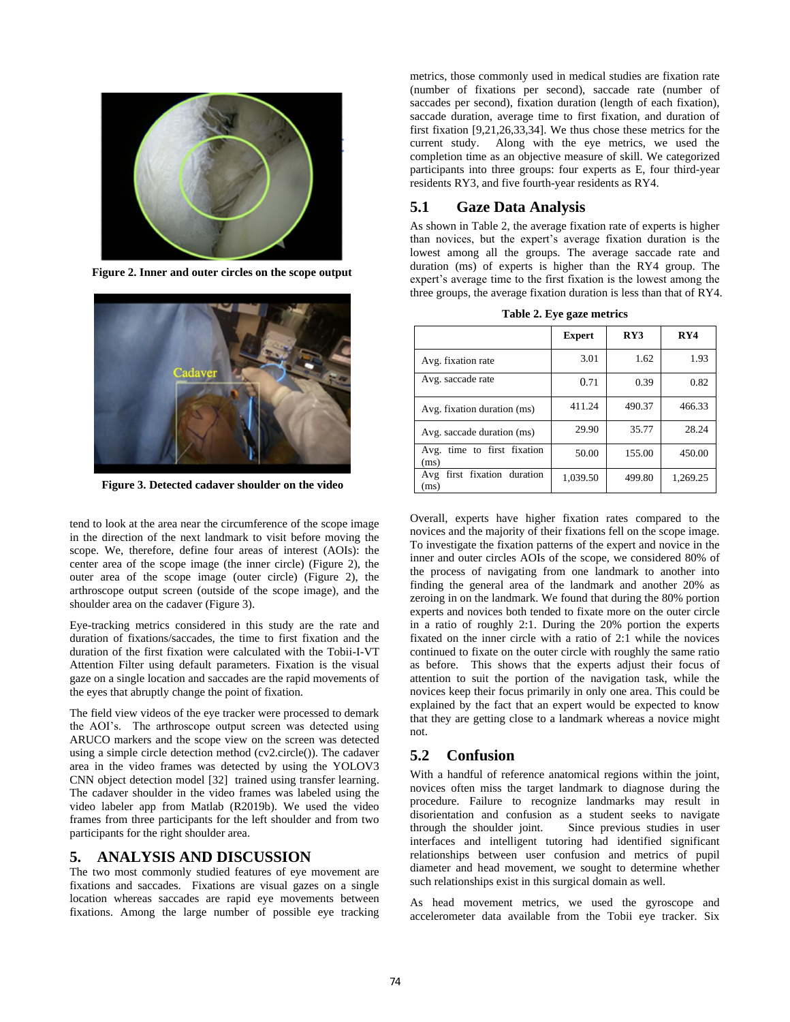

**Figure 2. Inner and outer circles on the scope output** 



**Figure 3. Detected cadaver shoulder on the video** 

tend to look at the area near the circumference of the scope image in the direction of the next landmark to visit before moving the scope. We, therefore, define four areas of interest (AOIs): the center area of the scope image (the inner circle) (Figure 2), the outer area of the scope image (outer circle) (Figure 2), the arthroscope output screen (outside of the scope image), and the shoulder area on the cadaver (Figure 3).

Eye-tracking metrics considered in this study are the rate and duration of fixations/saccades, the time to first fixation and the duration of the first fixation were calculated with the Tobii-I-VT Attention Filter using default parameters. Fixation is the visual gaze on a single location and saccades are the rapid movements of the eyes that abruptly change the point of fixation.

The field view videos of the eye tracker were processed to demark the AOI's. The arthroscope output screen was detected using ARUCO markers and the scope view on the screen was detected using a simple circle detection method (cv2.circle()). The cadaver area in the video frames was detected by using the YOLOV3 CNN object detection model [\[32\]](https://paperpile.com/c/kNexnA/Vg6l) trained using transfer learning. The cadaver shoulder in the video frames was labeled using the video labeler app from Matlab (R2019b). We used the video frames from three participants for the left shoulder and from two participants for the right shoulder area.

#### **5. ANALYSIS AND DISCUSSION**

The two most commonly studied features of eye movement are fixations and saccades. Fixations are visual gazes on a single location whereas saccades are rapid eye movements between fixations. Among the large number of possible eye tracking

metrics, those commonly used in medical studies are fixation rate (number of fixations per second), saccade rate (number of saccades per second), fixation duration (length of each fixation), saccade duration, average time to first fixation, and duration of first fixation [\[9,21,26,33,34\].](https://paperpile.com/c/kNexnA/SmV1+0h71+Rubd+uOQN+I0PE) We thus chose these metrics for the current study. Along with the eye metrics, we used the completion time as an objective measure of skill. We categorized participants into three groups: four experts as E, four third-year residents RY3, and five fourth-year residents as RY4.

## **5.1 Gaze Data Analysis**

As shown in Table 2, the average fixation rate of experts is higher than novices, but the expert's average fixation duration is the lowest among all the groups. The average saccade rate and duration (ms) of experts is higher than the RY4 group. The expert's average time to the first fixation is the lowest among the three groups, the average fixation duration is less than that of RY4.

**Table 2. Eye gaze metrics** 

|                                        | <b>Expert</b> | RY3    | RY4      |
|----------------------------------------|---------------|--------|----------|
| Avg. fixation rate                     | 3.01          | 1.62   | 1.93     |
| Avg. saccade rate                      | 0.71          | 0.39   | 0.82     |
| Avg. fixation duration (ms)            | 411.24        | 490.37 | 466.33   |
| Avg. saccade duration (ms)             | 29.90         | 35.77  | 28.24    |
| time to first fixation<br>Avg.<br>(ms) | 50.00         | 155.00 | 450.00   |
| first fixation duration<br>Avg<br>(ms) | 1,039.50      | 499.80 | 1,269.25 |

Overall, experts have higher fixation rates compared to the novices and the majority of their fixations fell on the scope image. To investigate the fixation patterns of the expert and novice in the inner and outer circles AOIs of the scope, we considered 80% of the process of navigating from one landmark to another into finding the general area of the landmark and another 20% as zeroing in on the landmark. We found that during the 80% portion experts and novices both tended to fixate more on the outer circle in a ratio of roughly 2:1. During the 20% portion the experts fixated on the inner circle with a ratio of 2:1 while the novices continued to fixate on the outer circle with roughly the same ratio as before. This shows that the experts adjust their focus of attention to suit the portion of the navigation task, while the novices keep their focus primarily in only one area. This could be explained by the fact that an expert would be expected to know that they are getting close to a landmark whereas a novice might not.

# **5.2 Confusion**

With a handful of reference anatomical regions within the joint, novices often miss the target landmark to diagnose during the procedure. Failure to recognize landmarks may result in disorientation and confusion as a student seeks to navigate through the shoulder joint. Since previous studies in user interfaces and intelligent tutoring had identified significant relationships between user confusion and metrics of pupil diameter and head movement, we sought to determine whether such relationships exist in this surgical domain as well.

As head movement metrics, we used the gyroscope and accelerometer data available from the Tobii eye tracker. Six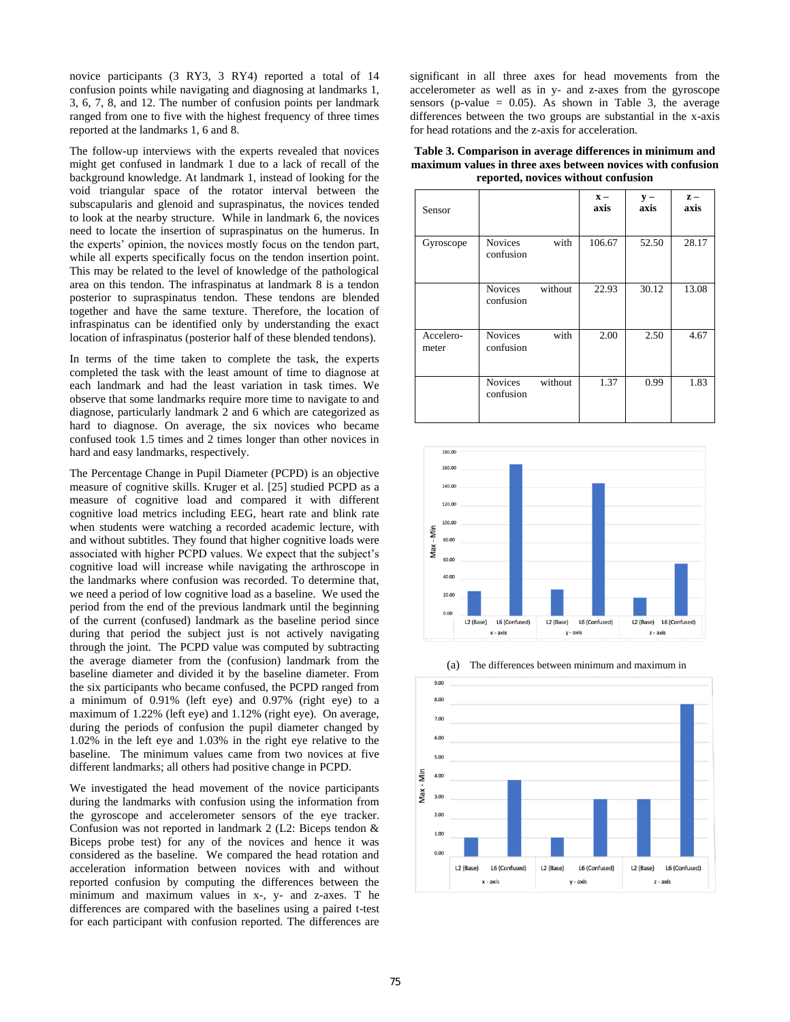novice participants (3 RY3, 3 RY4) reported a total of 14 confusion points while navigating and diagnosing at landmarks 1, 3, 6, 7, 8, and 12. The number of confusion points per landmark ranged from one to five with the highest frequency of three times reported at the landmarks 1, 6 and 8.

The follow-up interviews with the experts revealed that novices might get confused in landmark 1 due to a lack of recall of the background knowledge. At landmark 1, instead of looking for the void triangular space of the rotator interval between the subscapularis and glenoid and supraspinatus, the novices tended to look at the nearby structure. While in landmark 6, the novices need to locate the insertion of supraspinatus on the humerus. In the experts' opinion, the novices mostly focus on the tendon part, while all experts specifically focus on the tendon insertion point. This may be related to the level of knowledge of the pathological area on this tendon. The infraspinatus at landmark 8 is a tendon posterior to supraspinatus tendon. These tendons are blended together and have the same texture. Therefore, the location of infraspinatus can be identified only by understanding the exact location of infraspinatus (posterior half of these blended tendons).

In terms of the time taken to complete the task, the experts completed the task with the least amount of time to diagnose at each landmark and had the least variation in task times. We observe that some landmarks require more time to navigate to and diagnose, particularly landmark 2 and 6 which are categorized as hard to diagnose. On average, the six novices who became confused took 1.5 times and 2 times longer than other novices in hard and easy landmarks, respectively.

The Percentage Change in Pupil Diameter (PCPD) is an objective measure of cognitive skills. Kruger et al. [25] studied PCPD as a measure of cognitive load and compared it with different cognitive load metrics including EEG, heart rate and blink rate when students were watching a recorded academic lecture, with and without subtitles. They found that higher cognitive loads were associated with higher PCPD values. We expect that the subject's cognitive load will increase while navigating the arthroscope in the landmarks where confusion was recorded. To determine that, we need a period of low cognitive load as a baseline. We used the period from the end of the previous landmark until the beginning of the current (confused) landmark as the baseline period since during that period the subject just is not actively navigating through the joint. The PCPD value was computed by subtracting the average diameter from the (confusion) landmark from the baseline diameter and divided it by the baseline diameter. From the six participants who became confused, the PCPD ranged from a minimum of 0.91% (left eye) and 0.97% (right eye) to a maximum of 1.22% (left eye) and 1.12% (right eye). On average, during the periods of confusion the pupil diameter changed by 1.02% in the left eye and 1.03% in the right eye relative to the baseline. The minimum values came from two novices at five different landmarks; all others had positive change in PCPD.

We investigated the head movement of the novice participants during the landmarks with confusion using the information from the gyroscope and accelerometer sensors of the eye tracker. Confusion was not reported in landmark 2 (L2: Biceps tendon & Biceps probe test) for any of the novices and hence it was considered as the baseline. We compared the head rotation and acceleration information between novices with and without reported confusion by computing the differences between the minimum and maximum values in x-, y- and z-axes. T he differences are compared with the baselines using a paired t-test for each participant with confusion reported. The differences are

significant in all three axes for head movements from the accelerometer as well as in y- and z-axes from the gyroscope sensors (p-value  $= 0.05$ ). As shown in Table 3, the average differences between the two groups are substantial in the x-axis for head rotations and the z-axis for acceleration.

**Table 3. Comparison in average differences in minimum and maximum values in three axes between novices with confusion reported, novices without confusion** 

| Sensor             |                             |         | $\mathbf{x}$ -<br>axis | $y -$<br>axis | $\mathbf{z}$ –<br>axis |
|--------------------|-----------------------------|---------|------------------------|---------------|------------------------|
| Gyroscope          | <b>Novices</b><br>confusion | with    | 106.67                 | 52.50         | 28.17                  |
|                    | <b>Novices</b><br>confusion | without | 22.93                  | 30.12         | 13.08                  |
| Accelero-<br>meter | <b>Novices</b><br>confusion | with    | 2.00                   | 2.50          | 4.67                   |
|                    | <b>Novices</b><br>confusion | without | 1.37                   | 0.99          | 1.83                   |



(a) The differences between minimum and maximum in

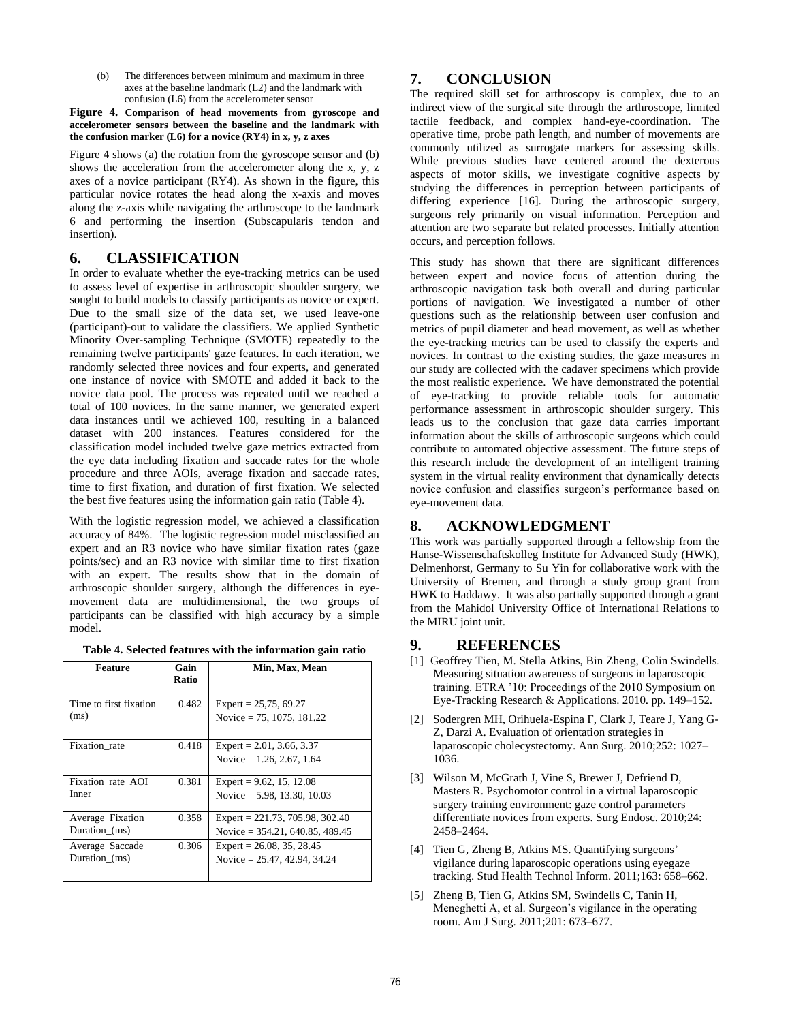(b) The differences between minimum and maximum in three axes at the baseline landmark (L2) and the landmark with confusion (L6) from the accelerometer sensor

#### **Figure 4. Comparison of head movements from gyroscope and accelerometer sensors between the baseline and the landmark with the confusion marker (L6) for a novice (RY4) in x, y, z axes**

Figure 4 shows (a) the rotation from the gyroscope sensor and (b) shows the acceleration from the accelerometer along the x, y, z axes of a novice participant (RY4). As shown in the figure, this particular novice rotates the head along the x-axis and moves along the z-axis while navigating the arthroscope to the landmark 6 and performing the insertion (Subscapularis tendon and insertion).

#### **6. CLASSIFICATION**

In order to evaluate whether the eye-tracking metrics can be used to assess level of expertise in arthroscopic shoulder surgery, we sought to build models to classify participants as novice or expert. Due to the small size of the data set, we used leave-one (participant)-out to validate the classifiers. We applied Synthetic Minority Over-sampling Technique (SMOTE) repeatedly to the remaining twelve participants' gaze features. In each iteration, we randomly selected three novices and four experts, and generated one instance of novice with SMOTE and added it back to the novice data pool. The process was repeated until we reached a total of 100 novices. In the same manner, we generated expert data instances until we achieved 100, resulting in a balanced dataset with 200 instances. Features considered for the classification model included twelve gaze metrics extracted from the eye data including fixation and saccade rates for the whole procedure and three AOIs, average fixation and saccade rates, time to first fixation, and duration of first fixation. We selected the best five features using the information gain ratio (Table 4).

With the logistic regression model, we achieved a classification accuracy of 84%. The logistic regression model misclassified an expert and an R3 novice who have similar fixation rates (gaze points/sec) and an R3 novice with similar time to first fixation with an expert. The results show that in the domain of arthroscopic shoulder surgery, although the differences in eyemovement data are multidimensional, the two groups of participants can be classified with high accuracy by a simple model.

|  |  |  |  | Table 4. Selected features with the information gain ratio |  |
|--|--|--|--|------------------------------------------------------------|--|
|--|--|--|--|------------------------------------------------------------|--|

| Feature                            | Gain<br><b>Ratio</b> | Min, Max, Mean                                                          |
|------------------------------------|----------------------|-------------------------------------------------------------------------|
| Time to first fixation<br>(ms)     | 0.482                | Expert = $25,75,69.27$<br>Novice = $75, 1075, 181.22$                   |
| Fixation rate                      | 0.418                | Expert = $2.01, 3.66, 3.37$<br>Novice = $1.26$ , 2.67, 1.64             |
| Fixation rate AOI<br>Inner         | 0.381                | Expert = $9.62$ , 15, 12.08<br>Novice = $5.98$ , 13.30, 10.03           |
| Average_Fixation_<br>Duration (ms) | 0.358                | Expert = $221.73$ , 705.98, 302.40<br>Novice = $354.21, 640.85, 489.45$ |
| Average_Saccade_<br>Duration (ms)  | 0.306                | Expert = $26.08$ , 35, 28.45<br>Novice = $25.47, 42.94, 34.24$          |

## **7. CONCLUSION**

The required skill set for arthroscopy is complex, due to an indirect view of the surgical site through the arthroscope, limited tactile feedback, and complex hand-eye-coordination. The operative time, probe path length, and number of movements are commonly utilized as surrogate markers for assessing skills. While previous studies have centered around the dexterous aspects of motor skills, we investigate cognitive aspects by studying the differences in perception between participants of differing experience [16]. During the arthroscopic surgery, surgeons rely primarily on visual information. Perception and attention are two separate but related processes. Initially attention occurs, and perception follows.

This study has shown that there are significant differences between expert and novice focus of attention during the arthroscopic navigation task both overall and during particular portions of navigation. We investigated a number of other questions such as the relationship between user confusion and metrics of pupil diameter and head movement, as well as whether the eye-tracking metrics can be used to classify the experts and novices. In contrast to the existing studies, the gaze measures in our study are collected with the cadaver specimens which provide the most realistic experience. We have demonstrated the potential of eye-tracking to provide reliable tools for automatic performance assessment in arthroscopic shoulder surgery. This leads us to the conclusion that gaze data carries important information about the skills of arthroscopic surgeons which could contribute to automated objective assessment. The future steps of this research include the development of an intelligent training system in the virtual reality environment that dynamically detects novice confusion and classifies surgeon's performance based on eye-movement data.

## **8. ACKNOWLEDGMENT**

This work was partially supported through a fellowship from the Hanse-Wissenschaftskolleg Institute for Advanced Study (HWK), Delmenhorst, Germany to Su Yin for collaborative work with the University of Bremen, and through a study group grant from HWK to Haddawy. It was also partially supported through a grant from the Mahidol University Office of International Relations to the MIRU joint unit.

## **9. REFERENCES**

- [1] Geoffrey Tien, M. Stella Atkins, Bin Zheng, Colin Swindells. Measuring situation awareness of surgeons in laparoscopic training. ETRA '10: Proceedings of the 2010 Symposium on Eye-Tracking Research & Applications. 2010. pp. 149–152.
- [2] Sodergren MH, Orihuela-Espina F, Clark J, Teare J, Yang G-Z, Darzi A. Evaluation of orientation strategies in laparoscopic cholecystectomy. Ann Surg. 2010;252: 1027– 1036.
- [3] Wilson M, McGrath J, Vine S, Brewer J, Defriend D, Masters R. Psychomotor control in a virtual laparoscopic surgery training environment: gaze control parameters differentiate novices from experts. Surg Endosc. 2010;24: 2458–2464.
- [4] Tien G, Zheng B, Atkins MS. Quantifying surgeons' vigilance during laparoscopic operations using eyegaze tracking. Stud Health Technol Inform. 2011;163: 658–662.
- [5] Zheng B, Tien G, Atkins SM, Swindells C, Tanin H, Meneghetti A, et al. Surgeon's vigilance in the operating room. Am J Surg. 2011;201: 673–677.